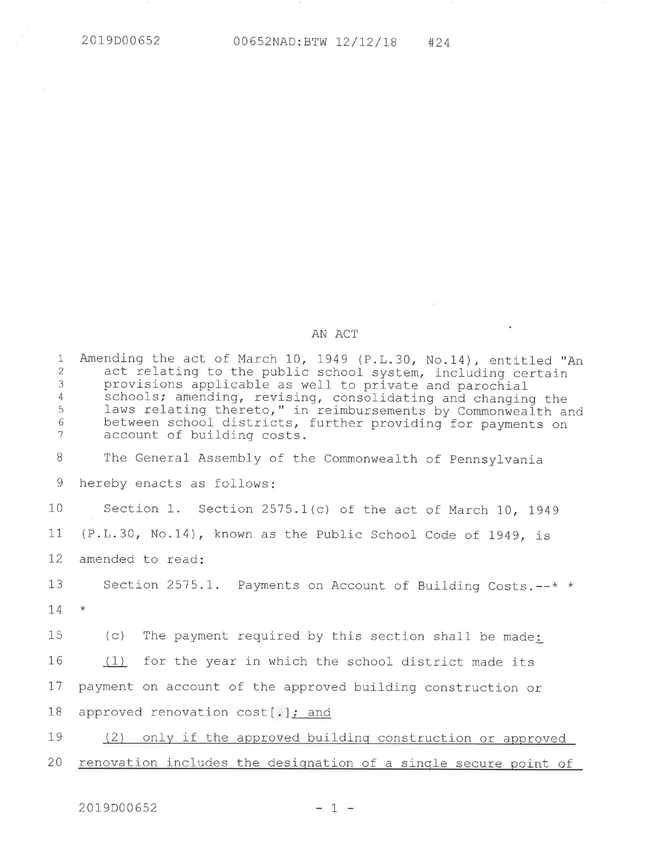## AN ACT

 $\mathcal{A}$  and  $\mathcal{A}$ 

| $\mathbf{1}$<br>$\overline{2}$<br>3<br>4<br>5<br>6<br>7 | Amending the act of March 10, 1949 (P.L.30, No.14), entitled "An<br>act relating to the public school system, including certain<br>provisions applicable as well to private and parochial<br>schools; amending, revising, consolidating and changing the<br>laws relating thereto," in reimbursements by Commonwealth and<br>between school districts, further providing for payments on<br>account of building costs. |
|---------------------------------------------------------|------------------------------------------------------------------------------------------------------------------------------------------------------------------------------------------------------------------------------------------------------------------------------------------------------------------------------------------------------------------------------------------------------------------------|
| 8                                                       | The General Assembly of the Commonwealth of Pennsylvania                                                                                                                                                                                                                                                                                                                                                               |
| 9                                                       | hereby enacts as follows:                                                                                                                                                                                                                                                                                                                                                                                              |
| 10                                                      | Section 1. Section 2575.1(c) of the act of March 10, 1949                                                                                                                                                                                                                                                                                                                                                              |
| 11                                                      | (P.L.30, No.14), known as the Public School Code of 1949, is                                                                                                                                                                                                                                                                                                                                                           |
| 12                                                      | amended to read:                                                                                                                                                                                                                                                                                                                                                                                                       |
| 13                                                      | Section 2575.1. Payments on Account of Building Costs.--* *                                                                                                                                                                                                                                                                                                                                                            |
| 14                                                      | $\star$                                                                                                                                                                                                                                                                                                                                                                                                                |
| 15                                                      | (C)<br>The payment required by this section shall be made:                                                                                                                                                                                                                                                                                                                                                             |
| 16                                                      | (1) for the year in which the school district made its                                                                                                                                                                                                                                                                                                                                                                 |
| 17                                                      | payment on account of the approved building construction or                                                                                                                                                                                                                                                                                                                                                            |
| 18                                                      | approved renovation cost[.]; and                                                                                                                                                                                                                                                                                                                                                                                       |
| 19                                                      | (2) only if the approved building construction or approved                                                                                                                                                                                                                                                                                                                                                             |
| 20                                                      | renovation includes the designation of a single secure point of                                                                                                                                                                                                                                                                                                                                                        |
|                                                         |                                                                                                                                                                                                                                                                                                                                                                                                                        |

 $-1$   $-1$